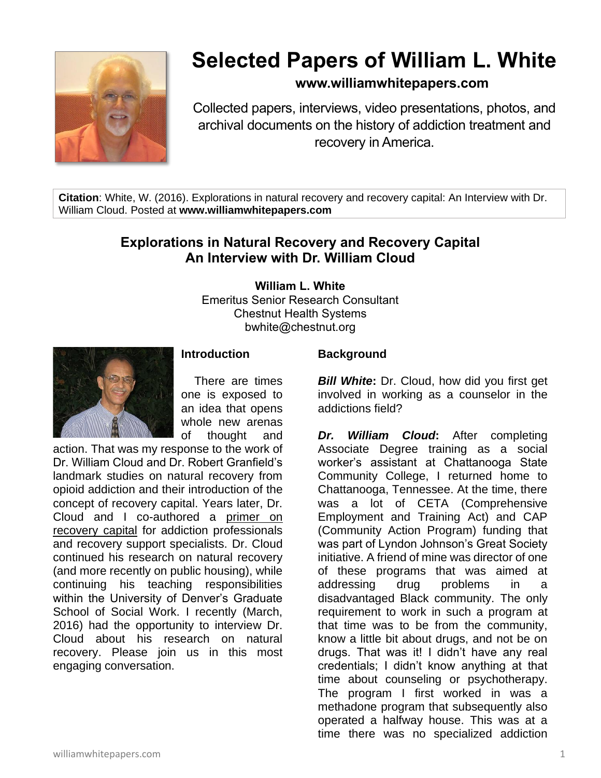

# **Selected Papers of William L. White**

# **www.williamwhitepapers.com**

Collected papers, interviews, video presentations, photos, and archival documents on the history of addiction treatment and recovery in America.

**Citation**: White, W. (2016). Explorations in natural recovery and recovery capital: An Interview with Dr. William Cloud. Posted at **www.williamwhitepapers.com**

# **Explorations in Natural Recovery and Recovery Capital An Interview with Dr. William Cloud**

**William L. White**

Emeritus Senior Research Consultant Chestnut Health Systems bwhite@chestnut.org



#### **Introduction**

There are times one is exposed to an idea that opens whole new arenas of thought and

action. That was my response to the work of Dr. William Cloud and Dr. Robert Granfield's landmark studies on natural recovery from opioid addiction and their introduction of the concept of recovery capital. Years later, Dr. Cloud and I co-authored a [primer on](http://www.williamwhitepapers.com/pr/2008RecoveryCapitalPrimer.pdf)  [recovery capital](http://www.williamwhitepapers.com/pr/2008RecoveryCapitalPrimer.pdf) for addiction professionals and recovery support specialists. Dr. Cloud continued his research on natural recovery (and more recently on public housing), while continuing his teaching responsibilities within the University of Denver's Graduate School of Social Work. I recently (March, 2016) had the opportunity to interview Dr. Cloud about his research on natural recovery. Please join us in this most engaging conversation.

#### **Background**

*Bill White***:** Dr. Cloud, how did you first get involved in working as a counselor in the addictions field?

*Dr. William Cloud***:** After completing Associate Degree training as a social worker's assistant at Chattanooga State Community College, I returned home to Chattanooga, Tennessee. At the time, there was a lot of CETA (Comprehensive Employment and Training Act) and CAP (Community Action Program) funding that was part of Lyndon Johnson's Great Society initiative. A friend of mine was director of one of these programs that was aimed at addressing drug problems in a disadvantaged Black community. The only requirement to work in such a program at that time was to be from the community, know a little bit about drugs, and not be on drugs. That was it! I didn't have any real credentials; I didn't know anything at that time about counseling or psychotherapy. The program I first worked in was a methadone program that subsequently also operated a halfway house. This was at a time there was no specialized addiction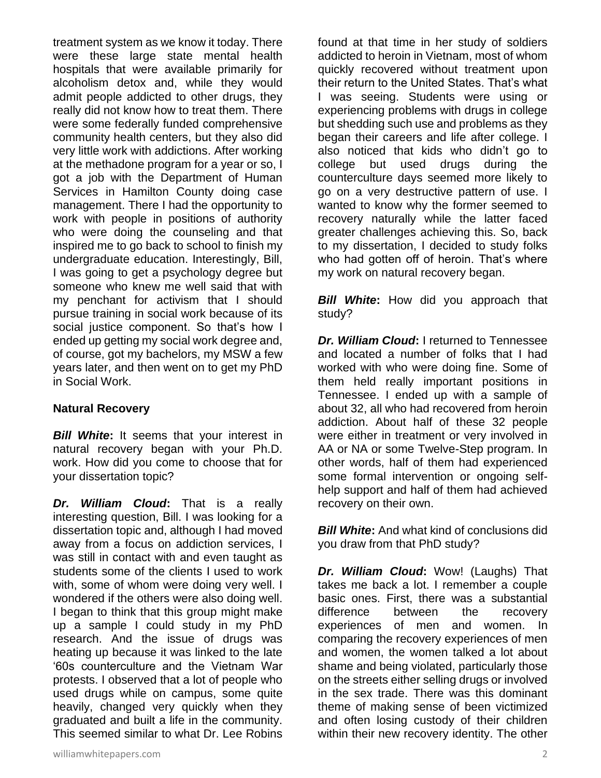treatment system as we know it today. There were these large state mental health hospitals that were available primarily for alcoholism detox and, while they would admit people addicted to other drugs, they really did not know how to treat them. There were some federally funded comprehensive community health centers, but they also did very little work with addictions. After working at the methadone program for a year or so, I got a job with the Department of Human Services in Hamilton County doing case management. There I had the opportunity to work with people in positions of authority who were doing the counseling and that inspired me to go back to school to finish my undergraduate education. Interestingly, Bill, I was going to get a psychology degree but someone who knew me well said that with my penchant for activism that I should pursue training in social work because of its social justice component. So that's how I ended up getting my social work degree and, of course, got my bachelors, my MSW a few years later, and then went on to get my PhD in Social Work.

# **Natural Recovery**

*Bill White***:** It seems that your interest in natural recovery began with your Ph.D. work. How did you come to choose that for your dissertation topic?

*Dr. William Cloud***:** That is a really interesting question, Bill. I was looking for a dissertation topic and, although I had moved away from a focus on addiction services, I was still in contact with and even taught as students some of the clients I used to work with, some of whom were doing very well. I wondered if the others were also doing well. I began to think that this group might make up a sample I could study in my PhD research. And the issue of drugs was heating up because it was linked to the late '60s counterculture and the Vietnam War protests. I observed that a lot of people who used drugs while on campus, some quite heavily, changed very quickly when they graduated and built a life in the community. This seemed similar to what Dr. Lee Robins

found at that time in her study of soldiers addicted to heroin in Vietnam, most of whom quickly recovered without treatment upon their return to the United States. That's what I was seeing. Students were using or experiencing problems with drugs in college but shedding such use and problems as they began their careers and life after college. I also noticed that kids who didn't go to college but used drugs during the counterculture days seemed more likely to go on a very destructive pattern of use. I wanted to know why the former seemed to recovery naturally while the latter faced greater challenges achieving this. So, back to my dissertation, I decided to study folks who had gotten off of heroin. That's where my work on natural recovery began.

*Bill White***:** How did you approach that study?

*Dr. William Cloud***:** I returned to Tennessee and located a number of folks that I had worked with who were doing fine. Some of them held really important positions in Tennessee. I ended up with a sample of about 32, all who had recovered from heroin addiction. About half of these 32 people were either in treatment or very involved in AA or NA or some Twelve-Step program. In other words, half of them had experienced some formal intervention or ongoing selfhelp support and half of them had achieved recovery on their own.

*Bill White***:** And what kind of conclusions did you draw from that PhD study?

*Dr. William Cloud***:** Wow! (Laughs) That takes me back a lot. I remember a couple basic ones. First, there was a substantial difference between the recovery experiences of men and women. In comparing the recovery experiences of men and women, the women talked a lot about shame and being violated, particularly those on the streets either selling drugs or involved in the sex trade. There was this dominant theme of making sense of been victimized and often losing custody of their children within their new recovery identity. The other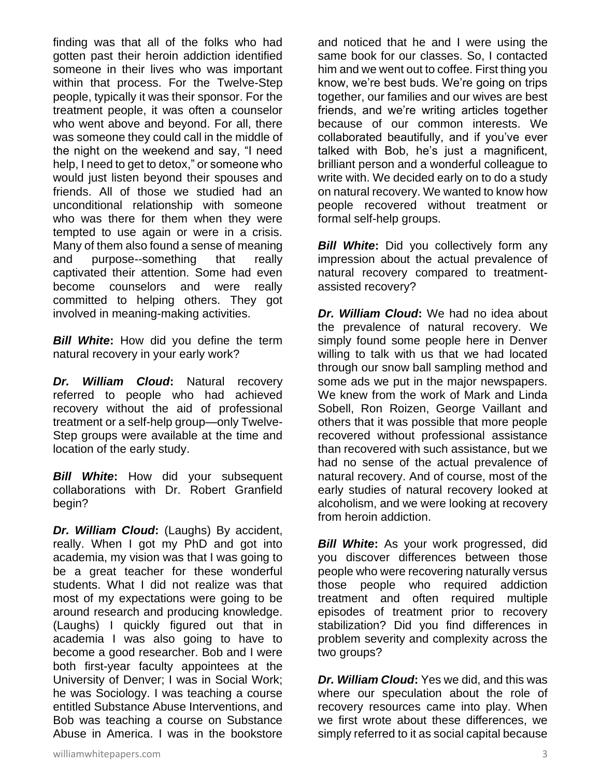finding was that all of the folks who had gotten past their heroin addiction identified someone in their lives who was important within that process. For the Twelve-Step people, typically it was their sponsor. For the treatment people, it was often a counselor who went above and beyond. For all, there was someone they could call in the middle of the night on the weekend and say, "I need help, I need to get to detox," or someone who would just listen beyond their spouses and friends. All of those we studied had an unconditional relationship with someone who was there for them when they were tempted to use again or were in a crisis. Many of them also found a sense of meaning and purpose--something that really captivated their attention. Some had even become counselors and were really committed to helping others. They got involved in meaning-making activities.

*Bill White***:** How did you define the term natural recovery in your early work?

*Dr. William Cloud***:** Natural recovery referred to people who had achieved recovery without the aid of professional treatment or a self-help group—only Twelve-Step groups were available at the time and location of the early study.

*Bill White***:** How did your subsequent collaborations with Dr. Robert Granfield begin?

*Dr. William Cloud***:** (Laughs) By accident, really. When I got my PhD and got into academia, my vision was that I was going to be a great teacher for these wonderful students. What I did not realize was that most of my expectations were going to be around research and producing knowledge. (Laughs) I quickly figured out that in academia I was also going to have to become a good researcher. Bob and I were both first-year faculty appointees at the University of Denver; I was in Social Work; he was Sociology. I was teaching a course entitled Substance Abuse Interventions, and Bob was teaching a course on Substance Abuse in America. I was in the bookstore

and noticed that he and I were using the same book for our classes. So, I contacted him and we went out to coffee. First thing you know, we're best buds. We're going on trips together, our families and our wives are best friends, and we're writing articles together because of our common interests. We collaborated beautifully, and if you've ever talked with Bob, he's just a magnificent, brilliant person and a wonderful colleague to write with. We decided early on to do a study on natural recovery. We wanted to know how people recovered without treatment or formal self-help groups.

*Bill White:* Did you collectively form any impression about the actual prevalence of natural recovery compared to treatmentassisted recovery?

*Dr. William Cloud***:** We had no idea about the prevalence of natural recovery. We simply found some people here in Denver willing to talk with us that we had located through our snow ball sampling method and some ads we put in the major newspapers. We knew from the work of Mark and Linda Sobell, Ron Roizen, George Vaillant and others that it was possible that more people recovered without professional assistance than recovered with such assistance, but we had no sense of the actual prevalence of natural recovery. And of course, most of the early studies of natural recovery looked at alcoholism, and we were looking at recovery from heroin addiction.

*Bill White***:** As your work progressed, did you discover differences between those people who were recovering naturally versus those people who required addiction treatment and often required multiple episodes of treatment prior to recovery stabilization? Did you find differences in problem severity and complexity across the two groups?

*Dr. William Cloud***:** Yes we did, and this was where our speculation about the role of recovery resources came into play. When we first wrote about these differences, we simply referred to it as social capital because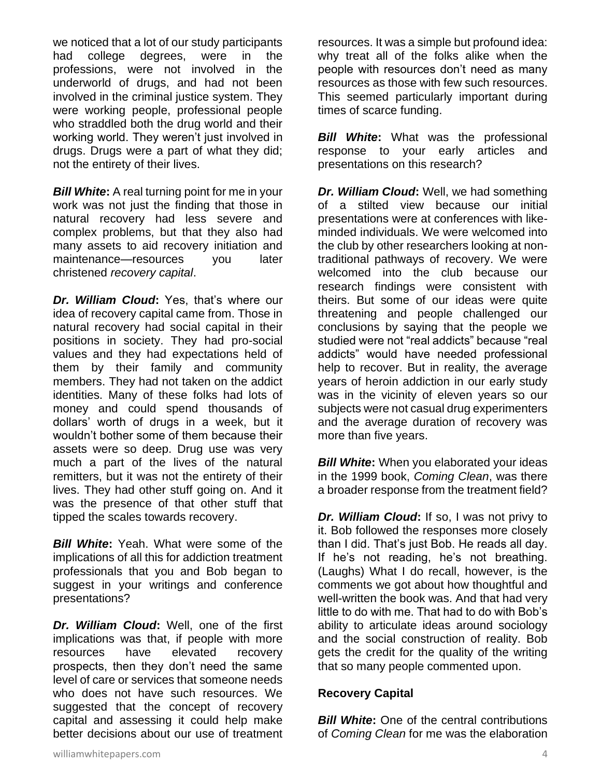we noticed that a lot of our study participants had college degrees, were in the professions, were not involved in the underworld of drugs, and had not been involved in the criminal justice system. They were working people, professional people who straddled both the drug world and their working world. They weren't just involved in drugs. Drugs were a part of what they did; not the entirety of their lives.

*Bill White***:** A real turning point for me in your work was not just the finding that those in natural recovery had less severe and complex problems, but that they also had many assets to aid recovery initiation and maintenance—resources you later christened *recovery capital*.

*Dr. William Cloud***:** Yes, that's where our idea of recovery capital came from. Those in natural recovery had social capital in their positions in society. They had pro-social values and they had expectations held of them by their family and community members. They had not taken on the addict identities. Many of these folks had lots of money and could spend thousands of dollars' worth of drugs in a week, but it wouldn't bother some of them because their assets were so deep. Drug use was very much a part of the lives of the natural remitters, but it was not the entirety of their lives. They had other stuff going on. And it was the presence of that other stuff that tipped the scales towards recovery.

*Bill White***:** Yeah. What were some of the implications of all this for addiction treatment professionals that you and Bob began to suggest in your writings and conference presentations?

*Dr. William Cloud***:** Well, one of the first implications was that, if people with more resources have elevated recovery prospects, then they don't need the same level of care or services that someone needs who does not have such resources. We suggested that the concept of recovery capital and assessing it could help make better decisions about our use of treatment

resources. It was a simple but profound idea: why treat all of the folks alike when the people with resources don't need as many resources as those with few such resources. This seemed particularly important during times of scarce funding.

*Bill White***:** What was the professional response to your early articles and presentations on this research?

*Dr. William Cloud***:** Well, we had something of a stilted view because our initial presentations were at conferences with likeminded individuals. We were welcomed into the club by other researchers looking at nontraditional pathways of recovery. We were welcomed into the club because our research findings were consistent with theirs. But some of our ideas were quite threatening and people challenged our conclusions by saying that the people we studied were not "real addicts" because "real addicts" would have needed professional help to recover. But in reality, the average years of heroin addiction in our early study was in the vicinity of eleven years so our subjects were not casual drug experimenters and the average duration of recovery was more than five years.

*Bill White:* When you elaborated your ideas in the 1999 book, *Coming Clean*, was there a broader response from the treatment field?

*Dr. William Cloud***:** If so, I was not privy to it. Bob followed the responses more closely than I did. That's just Bob. He reads all day. If he's not reading, he's not breathing. (Laughs) What I do recall, however, is the comments we got about how thoughtful and well-written the book was. And that had very little to do with me. That had to do with Bob's ability to articulate ideas around sociology and the social construction of reality. Bob gets the credit for the quality of the writing that so many people commented upon.

#### **Recovery Capital**

*Bill White:* One of the central contributions of *Coming Clean* for me was the elaboration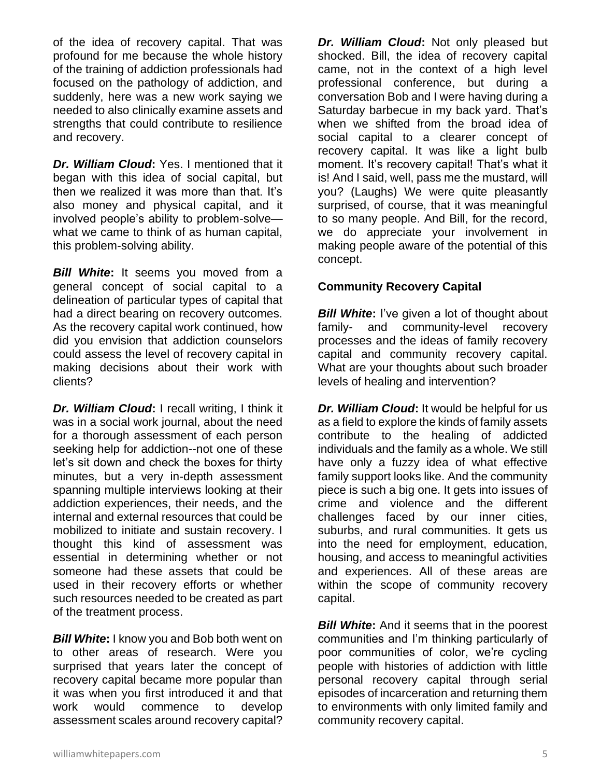of the idea of recovery capital. That was profound for me because the whole history of the training of addiction professionals had focused on the pathology of addiction, and suddenly, here was a new work saying we needed to also clinically examine assets and strengths that could contribute to resilience and recovery.

*Dr. William Cloud***:** Yes. I mentioned that it began with this idea of social capital, but then we realized it was more than that. It's also money and physical capital, and it involved people's ability to problem-solve what we came to think of as human capital, this problem-solving ability.

*Bill White***:** It seems you moved from a general concept of social capital to a delineation of particular types of capital that had a direct bearing on recovery outcomes. As the recovery capital work continued, how did you envision that addiction counselors could assess the level of recovery capital in making decisions about their work with clients?

*Dr. William Cloud***:** I recall writing, I think it was in a social work journal, about the need for a thorough assessment of each person seeking help for addiction--not one of these let's sit down and check the boxes for thirty minutes, but a very in-depth assessment spanning multiple interviews looking at their addiction experiences, their needs, and the internal and external resources that could be mobilized to initiate and sustain recovery. I thought this kind of assessment was essential in determining whether or not someone had these assets that could be used in their recovery efforts or whether such resources needed to be created as part of the treatment process.

*Bill White***:** I know you and Bob both went on to other areas of research. Were you surprised that years later the concept of recovery capital became more popular than it was when you first introduced it and that work would commence to develop assessment scales around recovery capital?

*Dr. William Cloud***:** Not only pleased but shocked. Bill, the idea of recovery capital came, not in the context of a high level professional conference, but during a conversation Bob and I were having during a Saturday barbecue in my back yard. That's when we shifted from the broad idea of social capital to a clearer concept of recovery capital. It was like a light bulb moment. It's recovery capital! That's what it is! And I said, well, pass me the mustard, will you? (Laughs) We were quite pleasantly surprised, of course, that it was meaningful to so many people. And Bill, for the record, we do appreciate your involvement in making people aware of the potential of this concept.

# **Community Recovery Capital**

**Bill White:** I've given a lot of thought about family- and community-level recovery processes and the ideas of family recovery capital and community recovery capital. What are your thoughts about such broader levels of healing and intervention?

*Dr. William Cloud***:** It would be helpful for us as a field to explore the kinds of family assets contribute to the healing of addicted individuals and the family as a whole. We still have only a fuzzy idea of what effective family support looks like. And the community piece is such a big one. It gets into issues of crime and violence and the different challenges faced by our inner cities, suburbs, and rural communities. It gets us into the need for employment, education, housing, and access to meaningful activities and experiences. All of these areas are within the scope of community recovery capital.

**Bill White:** And it seems that in the poorest communities and I'm thinking particularly of poor communities of color, we're cycling people with histories of addiction with little personal recovery capital through serial episodes of incarceration and returning them to environments with only limited family and community recovery capital.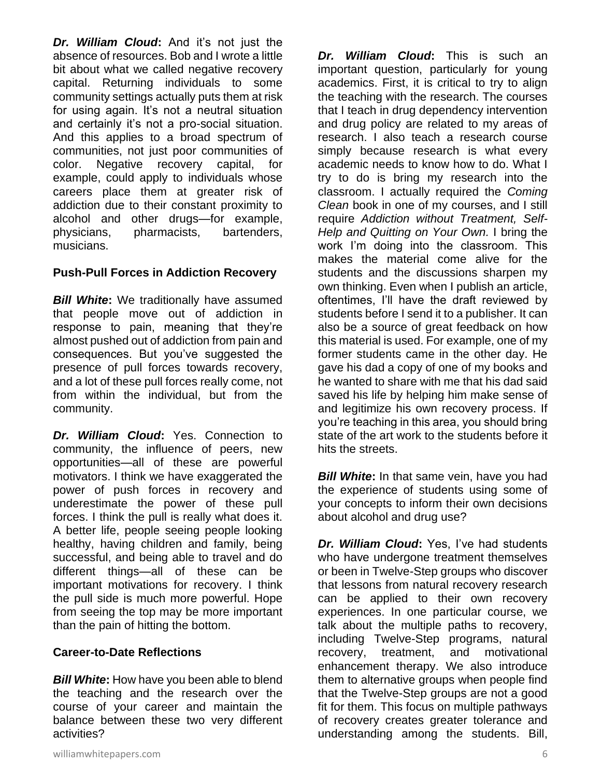*Dr. William Cloud***:** And it's not just the absence of resources. Bob and I wrote a little bit about what we called negative recovery capital. Returning individuals to some community settings actually puts them at risk for using again. It's not a neutral situation and certainly it's not a pro-social situation. And this applies to a broad spectrum of communities, not just poor communities of color. Negative recovery capital, for example, could apply to individuals whose careers place them at greater risk of addiction due to their constant proximity to alcohol and other drugs—for example, physicians, pharmacists, bartenders, musicians.

#### **Push-Pull Forces in Addiction Recovery**

*Bill White***:** We traditionally have assumed that people move out of addiction in response to pain, meaning that they're almost pushed out of addiction from pain and consequences. But you've suggested the presence of pull forces towards recovery, and a lot of these pull forces really come, not from within the individual, but from the community.

*Dr. William Cloud***:** Yes. Connection to community, the influence of peers, new opportunities—all of these are powerful motivators. I think we have exaggerated the power of push forces in recovery and underestimate the power of these pull forces. I think the pull is really what does it. A better life, people seeing people looking healthy, having children and family, being successful, and being able to travel and do different things—all of these can be important motivations for recovery. I think the pull side is much more powerful. Hope from seeing the top may be more important than the pain of hitting the bottom.

#### **Career-to-Date Reflections**

*Bill White***:** How have you been able to blend the teaching and the research over the course of your career and maintain the balance between these two very different activities?

*Dr. William Cloud***:** This is such an important question, particularly for young academics. First, it is critical to try to align the teaching with the research. The courses that I teach in drug dependency intervention and drug policy are related to my areas of research. I also teach a research course simply because research is what every academic needs to know how to do. What I try to do is bring my research into the classroom. I actually required the *Coming Clean* book in one of my courses, and I still require *Addiction without Treatment, Self-Help and Quitting on Your Own.* I bring the work I'm doing into the classroom. This makes the material come alive for the students and the discussions sharpen my own thinking. Even when I publish an article, oftentimes, I'll have the draft reviewed by students before I send it to a publisher. It can also be a source of great feedback on how this material is used. For example, one of my former students came in the other day. He gave his dad a copy of one of my books and he wanted to share with me that his dad said saved his life by helping him make sense of and legitimize his own recovery process. If you're teaching in this area, you should bring state of the art work to the students before it hits the streets.

*Bill White*: In that same vein, have you had the experience of students using some of your concepts to inform their own decisions about alcohol and drug use?

*Dr. William Cloud***:** Yes, I've had students who have undergone treatment themselves or been in Twelve-Step groups who discover that lessons from natural recovery research can be applied to their own recovery experiences. In one particular course, we talk about the multiple paths to recovery, including Twelve-Step programs, natural recovery, treatment, and motivational enhancement therapy. We also introduce them to alternative groups when people find that the Twelve-Step groups are not a good fit for them. This focus on multiple pathways of recovery creates greater tolerance and understanding among the students. Bill,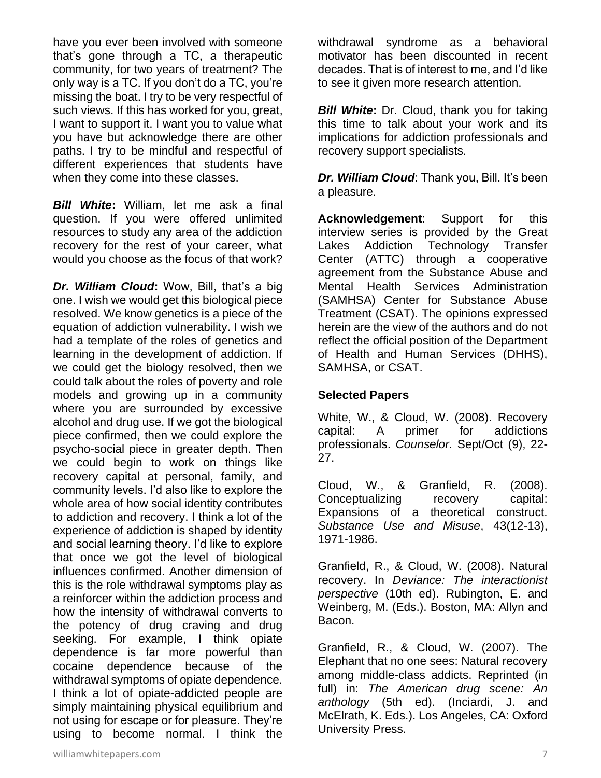have you ever been involved with someone that's gone through a TC, a therapeutic community, for two years of treatment? The only way is a TC. If you don't do a TC, you're missing the boat. I try to be very respectful of such views. If this has worked for you, great, I want to support it. I want you to value what you have but acknowledge there are other paths. I try to be mindful and respectful of different experiences that students have when they come into these classes.

*Bill White***:** William, let me ask a final question. If you were offered unlimited resources to study any area of the addiction recovery for the rest of your career, what would you choose as the focus of that work?

*Dr. William Cloud***:** Wow, Bill, that's a big one. I wish we would get this biological piece resolved. We know genetics is a piece of the equation of addiction vulnerability. I wish we had a template of the roles of genetics and learning in the development of addiction. If we could get the biology resolved, then we could talk about the roles of poverty and role models and growing up in a community where you are surrounded by excessive alcohol and drug use. If we got the biological piece confirmed, then we could explore the psycho-social piece in greater depth. Then we could begin to work on things like recovery capital at personal, family, and community levels. I'd also like to explore the whole area of how social identity contributes to addiction and recovery. I think a lot of the experience of addiction is shaped by identity and social learning theory. I'd like to explore that once we got the level of biological influences confirmed. Another dimension of this is the role withdrawal symptoms play as a reinforcer within the addiction process and how the intensity of withdrawal converts to the potency of drug craving and drug seeking. For example, I think opiate dependence is far more powerful than cocaine dependence because of the withdrawal symptoms of opiate dependence. I think a lot of opiate-addicted people are simply maintaining physical equilibrium and not using for escape or for pleasure. They're using to become normal. I think the

withdrawal syndrome as a behavioral motivator has been discounted in recent decades. That is of interest to me, and I'd like to see it given more research attention.

*Bill White***:** Dr. Cloud, thank you for taking this time to talk about your work and its implications for addiction professionals and recovery support specialists.

*Dr. William Cloud*: Thank you, Bill. It's been a pleasure.

**Acknowledgement**: Support for this interview series is provided by the Great Lakes Addiction Technology Transfer Center (ATTC) through a cooperative agreement from the Substance Abuse and Mental Health Services Administration (SAMHSA) Center for Substance Abuse Treatment (CSAT). The opinions expressed herein are the view of the authors and do not reflect the official position of the Department of Health and Human Services (DHHS), SAMHSA, or CSAT.

# **Selected Papers**

White, W., & Cloud, W. (2008). Recovery capital: A primer for addictions professionals. *Counselor*. Sept/Oct (9), 22- 27.

Cloud, W., & Granfield, R. (2008). Conceptualizing recovery capital: Expansions of a theoretical construct. *Substance Use and Misuse*, 43(12-13), 1971-1986.

Granfield, R., & Cloud, W. (2008). Natural recovery. In *Deviance: The interactionist perspective* (10th ed). Rubington, E. and Weinberg, M. (Eds.). Boston, MA: Allyn and Bacon.

Granfield, R., & Cloud, W. (2007). The Elephant that no one sees: Natural recovery among middle-class addicts. Reprinted (in full) in: *The American drug scene: An anthology* (5th ed). (Inciardi, J. and McElrath, K. Eds.). Los Angeles, CA: Oxford University Press.